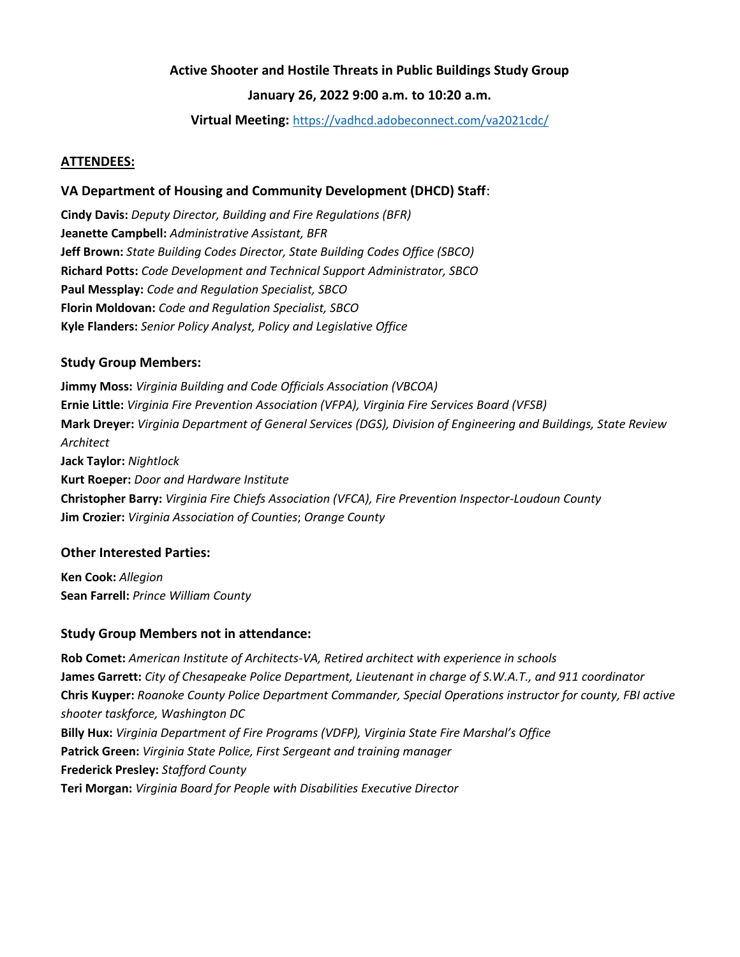# **Active Shooter and Hostile Threats in Public Buildings Study Group**

# **January 26, 2022 9:00 a.m. to 10:20 a.m.**

**Virtual Meeting:** <https://vadhcd.adobeconnect.com/va2021cdc/>

## **ATTENDEES:**

### **VA Department of Housing and Community Development (DHCD) Staff**:

**Cindy Davis:** *Deputy Director, Building and Fire Regulations (BFR)* **Jeanette Campbell:** *Administrative Assistant, BFR* **Jeff Brown:** *State Building Codes Director, State Building Codes Office (SBCO)* **Richard Potts:** *Code Development and Technical Support Administrator, SBCO* **Paul Messplay:** *Code and Regulation Specialist, SBCO* **Florin Moldovan:** *Code and Regulation Specialist, SBCO* **Kyle Flanders:** *Senior Policy Analyst, Policy and Legislative Office*

### **Study Group Members:**

**Jimmy Moss:** *Virginia Building and Code Officials Association (VBCOA)* **Ernie Little:** *Virginia Fire Prevention Association (VFPA), Virginia Fire Services Board (VFSB)* **Mark Dreyer:** *Virginia Department of General Services (DGS), Division of Engineering and Buildings, State Review Architect* **Jack Taylor:** *Nightlock* **Kurt Roeper:** *Door and Hardware Institute* **Christopher Barry:** *Virginia Fire Chiefs Association (VFCA), Fire Prevention Inspector-Loudoun County* **Jim Crozier:** *Virginia Association of Counties*; *Orange County*

#### **Other Interested Parties:**

**Ken Cook:** *Allegion* **Sean Farrell:** *Prince William County*

#### **Study Group Members not in attendance:**

**Rob Comet:** *American Institute of Architects-VA, Retired architect with experience in schools* **James Garrett:** *City of Chesapeake Police Department, Lieutenant in charge of S.W.A.T., and 911 coordinator* **Chris Kuyper:** *Roanoke County Police Department Commander, Special Operations instructor for county, FBI active shooter taskforce, Washington DC* **Billy Hux:** *Virginia Department of Fire Programs (VDFP), Virginia State Fire Marshal's Office* **Patrick Green:** *Virginia State Police, First Sergeant and training manager* **Frederick Presley:** *Stafford County* **Teri Morgan:** *Virginia Board for People with Disabilities Executive Director*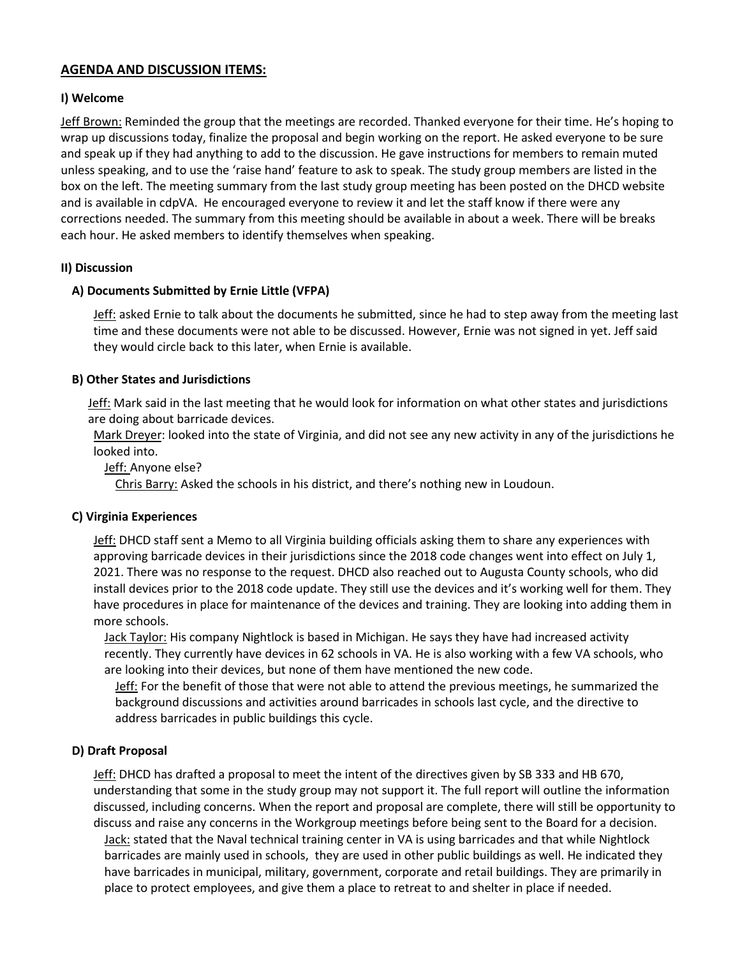# **AGENDA AND DISCUSSION ITEMS:**

### **I) Welcome**

Jeff Brown: Reminded the group that the meetings are recorded. Thanked everyone for their time. He's hoping to wrap up discussions today, finalize the proposal and begin working on the report. He asked everyone to be sure and speak up if they had anything to add to the discussion. He gave instructions for members to remain muted unless speaking, and to use the 'raise hand' feature to ask to speak. The study group members are listed in the box on the left. The meeting summary from the last study group meeting has been posted on the DHCD website and is available in cdpVA. He encouraged everyone to review it and let the staff know if there were any corrections needed. The summary from this meeting should be available in about a week. There will be breaks each hour. He asked members to identify themselves when speaking.

### **II) Discussion**

### **A) Documents Submitted by Ernie Little (VFPA)**

Jeff: asked Ernie to talk about the documents he submitted, since he had to step away from the meeting last time and these documents were not able to be discussed. However, Ernie was not signed in yet. Jeff said they would circle back to this later, when Ernie is available.

## **B) Other States and Jurisdictions**

Jeff: Mark said in the last meeting that he would look for information on what other states and jurisdictions are doing about barricade devices.

Mark Dreyer: looked into the state of Virginia, and did not see any new activity in any of the jurisdictions he looked into.

Jeff: Anyone else?

Chris Barry: Asked the schools in his district, and there's nothing new in Loudoun.

#### **C) Virginia Experiences**

Jeff: DHCD staff sent a Memo to all Virginia building officials asking them to share any experiences with approving barricade devices in their jurisdictions since the 2018 code changes went into effect on July 1, 2021. There was no response to the request. DHCD also reached out to Augusta County schools, who did install devices prior to the 2018 code update. They still use the devices and it's working well for them. They have procedures in place for maintenance of the devices and training. They are looking into adding them in more schools.

Jack Taylor: His company Nightlock is based in Michigan. He says they have had increased activity recently. They currently have devices in 62 schools in VA. He is also working with a few VA schools, who are looking into their devices, but none of them have mentioned the new code.

Jeff: For the benefit of those that were not able to attend the previous meetings, he summarized the background discussions and activities around barricades in schools last cycle, and the directive to address barricades in public buildings this cycle.

## **D) Draft Proposal**

Jeff: DHCD has drafted a proposal to meet the intent of the directives given by SB 333 and HB 670, understanding that some in the study group may not support it. The full report will outline the information discussed, including concerns. When the report and proposal are complete, there will still be opportunity to discuss and raise any concerns in the Workgroup meetings before being sent to the Board for a decision. **Jack:** stated that the Naval technical training center in VA is using barricades and that while Nightlock barricades are mainly used in schools, they are used in other public buildings as well. He indicated they have barricades in municipal, military, government, corporate and retail buildings. They are primarily in place to protect employees, and give them a place to retreat to and shelter in place if needed.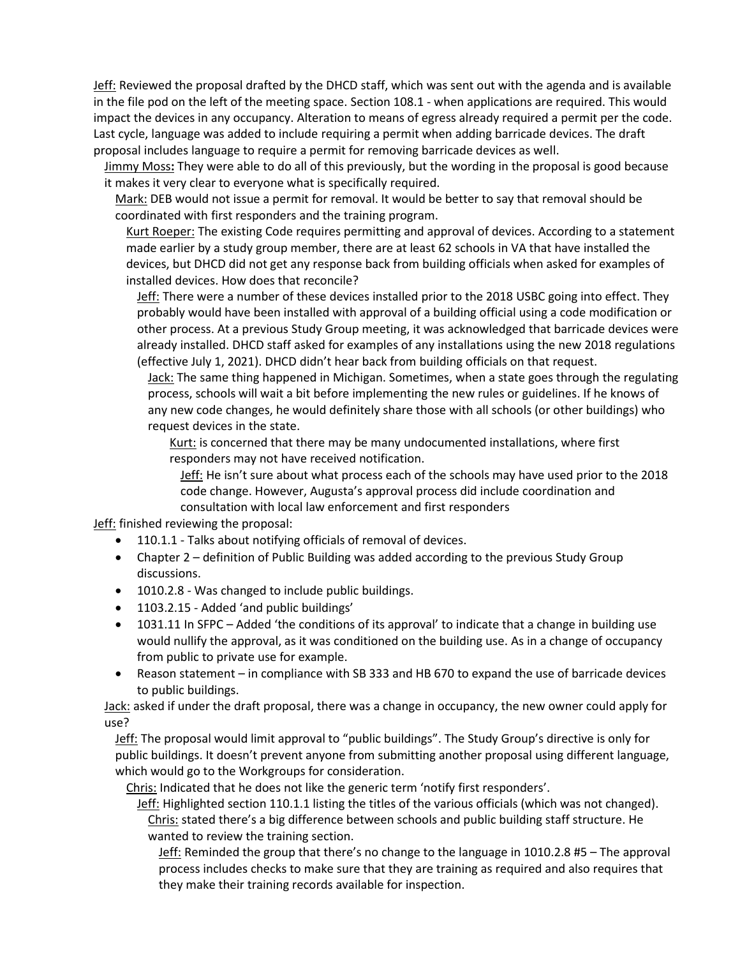Jeff: Reviewed the proposal drafted by the DHCD staff, which was sent out with the agenda and is available in the file pod on the left of the meeting space. Section 108.1 - when applications are required. This would impact the devices in any occupancy. Alteration to means of egress already required a permit per the code. Last cycle, language was added to include requiring a permit when adding barricade devices. The draft proposal includes language to require a permit for removing barricade devices as well.

Jimmy Moss**:** They were able to do all of this previously, but the wording in the proposal is good because it makes it very clear to everyone what is specifically required.

Mark: DEB would not issue a permit for removal. It would be better to say that removal should be coordinated with first responders and the training program.

Kurt Roeper: The existing Code requires permitting and approval of devices. According to a statement made earlier by a study group member, there are at least 62 schools in VA that have installed the devices, but DHCD did not get any response back from building officials when asked for examples of installed devices. How does that reconcile?

Jeff: There were a number of these devices installed prior to the 2018 USBC going into effect. They probably would have been installed with approval of a building official using a code modification or other process. At a previous Study Group meeting, it was acknowledged that barricade devices were already installed. DHCD staff asked for examples of any installations using the new 2018 regulations (effective July 1, 2021). DHCD didn't hear back from building officials on that request.

Jack: The same thing happened in Michigan. Sometimes, when a state goes through the regulating process, schools will wait a bit before implementing the new rules or guidelines. If he knows of any new code changes, he would definitely share those with all schools (or other buildings) who request devices in the state.

Kurt: is concerned that there may be many undocumented installations, where first responders may not have received notification.

Jeff: He isn't sure about what process each of the schools may have used prior to the 2018 code change. However, Augusta's approval process did include coordination and consultation with local law enforcement and first responders

Jeff: finished reviewing the proposal:

- 110.1.1 Talks about notifying officials of removal of devices.
- Chapter 2 definition of Public Building was added according to the previous Study Group discussions.
- 1010.2.8 Was changed to include public buildings.
- 1103.2.15 Added 'and public buildings'
- 1031.11 In SFPC Added 'the conditions of its approval' to indicate that a change in building use would nullify the approval, as it was conditioned on the building use. As in a change of occupancy from public to private use for example.
- Reason statement in compliance with SB 333 and HB 670 to expand the use of barricade devices to public buildings.

Jack: asked if under the draft proposal, there was a change in occupancy, the new owner could apply for use?

Jeff: The proposal would limit approval to "public buildings". The Study Group's directive is only for public buildings. It doesn't prevent anyone from submitting another proposal using different language, which would go to the Workgroups for consideration.

Chris: Indicated that he does not like the generic term 'notify first responders'.

Jeff: Highlighted section 110.1.1 listing the titles of the various officials (which was not changed). Chris: stated there's a big difference between schools and public building staff structure. He wanted to review the training section.

Jeff: Reminded the group that there's no change to the language in 1010.2.8 #5 – The approval process includes checks to make sure that they are training as required and also requires that they make their training records available for inspection.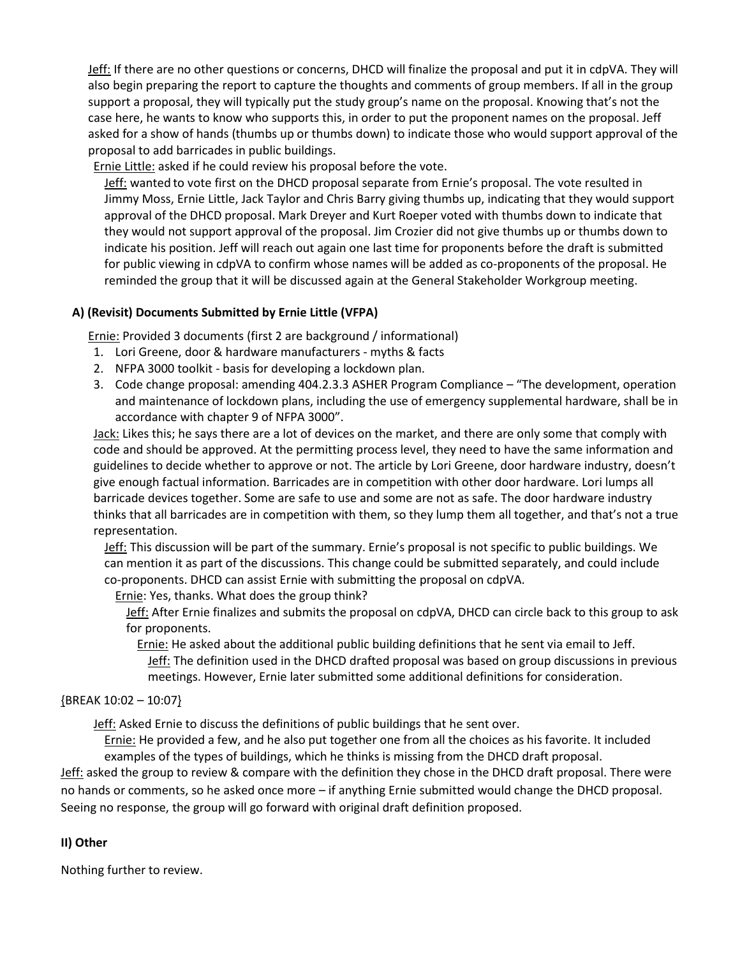Jeff: If there are no other questions or concerns, DHCD will finalize the proposal and put it in cdpVA. They will also begin preparing the report to capture the thoughts and comments of group members. If all in the group support a proposal, they will typically put the study group's name on the proposal. Knowing that's not the case here, he wants to know who supports this, in order to put the proponent names on the proposal. Jeff asked for a show of hands (thumbs up or thumbs down) to indicate those who would support approval of the proposal to add barricades in public buildings.

Ernie Little: asked if he could review his proposal before the vote.

Jeff: wanted to vote first on the DHCD proposal separate from Ernie's proposal. The vote resulted in Jimmy Moss, Ernie Little, Jack Taylor and Chris Barry giving thumbs up, indicating that they would support approval of the DHCD proposal. Mark Dreyer and Kurt Roeper voted with thumbs down to indicate that they would not support approval of the proposal. Jim Crozier did not give thumbs up or thumbs down to indicate his position. Jeff will reach out again one last time for proponents before the draft is submitted for public viewing in cdpVA to confirm whose names will be added as co-proponents of the proposal. He reminded the group that it will be discussed again at the General Stakeholder Workgroup meeting.

# **A) (Revisit) Documents Submitted by Ernie Little (VFPA)**

Ernie: Provided 3 documents (first 2 are background / informational)

- 1. Lori Greene, door & hardware manufacturers myths & facts
- 2. NFPA 3000 toolkit basis for developing a lockdown plan.
- 3. Code change proposal: amending 404.2.3.3 ASHER Program Compliance "The development, operation and maintenance of lockdown plans, including the use of emergency supplemental hardware, shall be in accordance with chapter 9 of NFPA 3000".

Jack: Likes this; he says there are a lot of devices on the market, and there are only some that comply with code and should be approved. At the permitting process level, they need to have the same information and guidelines to decide whether to approve or not. The article by Lori Greene, door hardware industry, doesn't give enough factual information. Barricades are in competition with other door hardware. Lori lumps all barricade devices together. Some are safe to use and some are not as safe. The door hardware industry thinks that all barricades are in competition with them, so they lump them all together, and that's not a true representation.

Jeff: This discussion will be part of the summary. Ernie's proposal is not specific to public buildings. We can mention it as part of the discussions. This change could be submitted separately, and could include co-proponents. DHCD can assist Ernie with submitting the proposal on cdpVA.

Ernie: Yes, thanks. What does the group think?

Jeff: After Ernie finalizes and submits the proposal on cdpVA, DHCD can circle back to this group to ask for proponents.

Ernie: He asked about the additional public building definitions that he sent via email to Jeff. **Jeff:** The definition used in the DHCD drafted proposal was based on group discussions in previous meetings. However, Ernie later submitted some additional definitions for consideration.

## {BREAK 10:02 – 10:07}

Jeff: Asked Ernie to discuss the definitions of public buildings that he sent over.

Ernie: He provided a few, and he also put together one from all the choices as his favorite. It included examples of the types of buildings, which he thinks is missing from the DHCD draft proposal.

Jeff: asked the group to review & compare with the definition they chose in the DHCD draft proposal. There were no hands or comments, so he asked once more – if anything Ernie submitted would change the DHCD proposal. Seeing no response, the group will go forward with original draft definition proposed.

## **II) Other**

Nothing further to review.